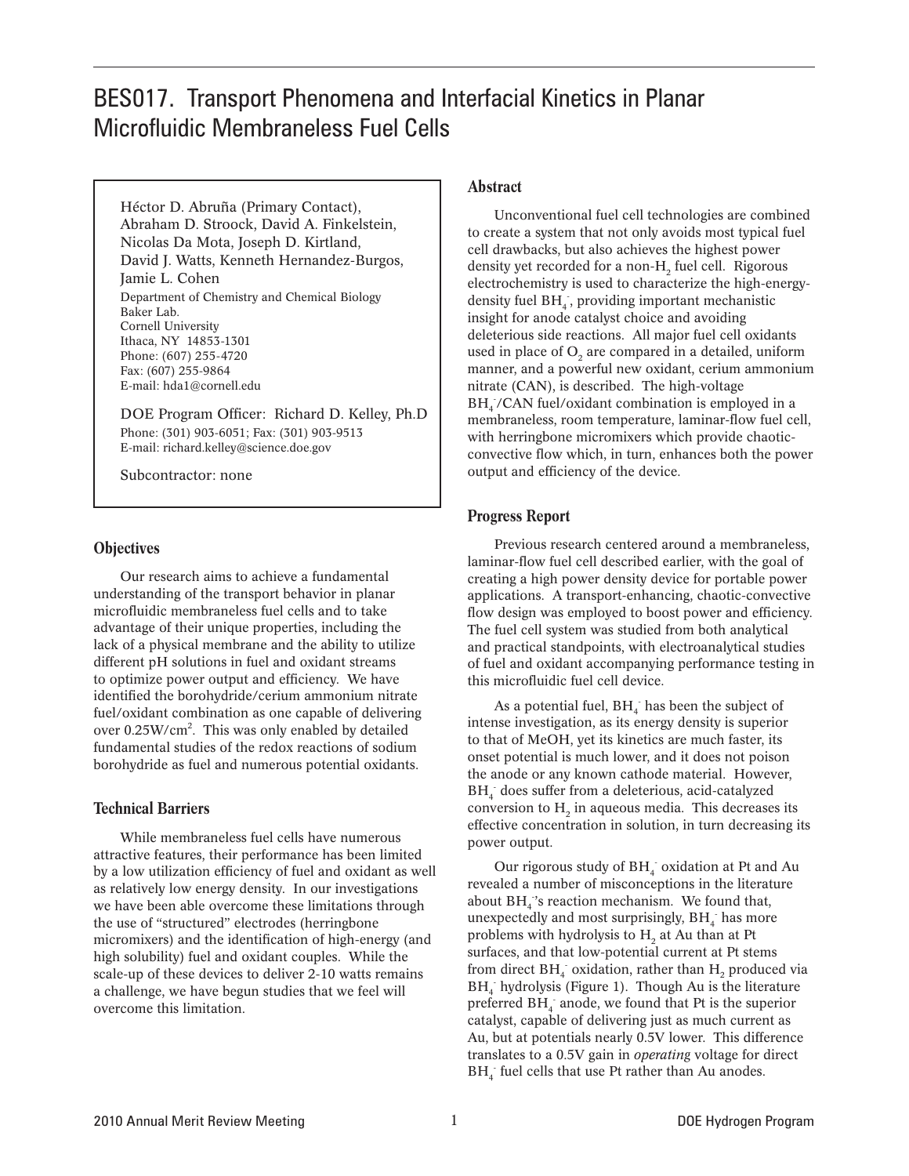# BES017. Transport Phenomena and Interfacial Kinetics in Planar Microfluidic Membraneless Fuel Cells

Héctor D. Abruña (Primary Contact), Abraham D. Stroock, David A. Finkelstein, Nicolas Da Mota, Joseph D. Kirtland, David J. Watts, Kenneth Hernandez-Burgos, Jamie L. Cohen Department of Chemistry and Chemical Biology Baker Lab. Cornell University Ithaca, NY 14853-1301 Phone: (607) 255-4720 Fax: (607) 255-9864 E-mail: hda1@cornell.edu

DOE Program Officer: Richard D. Kelley, Ph.D Phone: (301) 903-6051; Fax: (301) 903-9513 E-mail: richard.kelley@science.doe.gov

Subcontractor: none

# **Objectives**

Our research aims to achieve a fundamental understanding of the transport behavior in planar microfluidic membraneless fuel cells and to take advantage of their unique properties, including the lack of a physical membrane and the ability to utilize different pH solutions in fuel and oxidant streams to optimize power output and efficiency. We have identified the borohydride/cerium ammonium nitrate fuel/oxidant combination as one capable of delivering over  $0.25 \text{W/cm}^2$ . This was only enabled by detailed fundamental studies of the redox reactions of sodium borohydride as fuel and numerous potential oxidants.

# Technical Barriers

While membraneless fuel cells have numerous attractive features, their performance has been limited by a low utilization efficiency of fuel and oxidant as well as relatively low energy density. In our investigations we have been able overcome these limitations through the use of "structured" electrodes (herringbone micromixers) and the identification of high-energy (and high solubility) fuel and oxidant couples. While the scale-up of these devices to deliver 2-10 watts remains a challenge, we have begun studies that we feel will overcome this limitation.

#### Abstract

Unconventional fuel cell technologies are combined to create a system that not only avoids most typical fuel cell drawbacks, but also achieves the highest power density yet recorded for a non-H<sub>2</sub> fuel cell. Rigorous electrochemistry is used to characterize the high-energydensity fuel  $\mathrm{BH}_4$  , providing important mechanistic insight for anode catalyst choice and avoiding deleterious side reactions. All major fuel cell oxidants used in place of  $O<sub>2</sub>$  are compared in a detailed, uniform manner, and a powerful new oxidant, cerium ammonium nitrate (CAN), is described. The high-voltage  $BH_4$ /CAN fuel/oxidant combination is employed in a membraneless, room temperature, laminar-flow fuel cell, with herringbone micromixers which provide chaoticconvective flow which, in turn, enhances both the power output and efficiency of the device.

### Progress Report

Previous research centered around a membraneless, laminar-flow fuel cell described earlier, with the goal of creating a high power density device for portable power applications. A transport-enhancing, chaotic-convective flow design was employed to boost power and efficiency. The fuel cell system was studied from both analytical and practical standpoints, with electroanalytical studies of fuel and oxidant accompanying performance testing in this microfluidic fuel cell device.

As a potential fuel,  $BH_{4}^-$  has been the subject of intense investigation, as its energy density is superior to that of MeOH, yet its kinetics are much faster, its onset potential is much lower, and it does not poison the anode or any known cathode material. However,  $\mathrm{BH}_4^-$  does suffer from a deleterious, acid-catalyzed conversion to  $H_2$  in aqueous media. This decreases its effective concentration in solution, in turn decreasing its power output.

Our rigorous study of  $\mathbf{BH}_{4}^-$  oxidation at Pt and Au revealed a number of misconceptions in the literature about  $BH_{4}$ 's reaction mechanism. We found that, unexpectedly and most surprisingly,  $\mathbf{BH}_4^-$  has more problems with hydrolysis to  $H<sub>2</sub>$  at Au than at Pt surfaces, and that low-potential current at Pt stems from direct  $BH_4^-$  oxidation, rather than  $H_2$  produced via BH<sub>4</sub> hydrolysis (Figure 1). Though Au is the literature preferred  $BH$ <sub>4</sub> anode, we found that Pt is the superior catalyst, capable of delivering just as much current as Au, but at potentials nearly 0.5V lower. This difference translates to a 0.5V gain in *operating* voltage for direct  $BH<sub>4</sub>$  fuel cells that use Pt rather than Au anodes.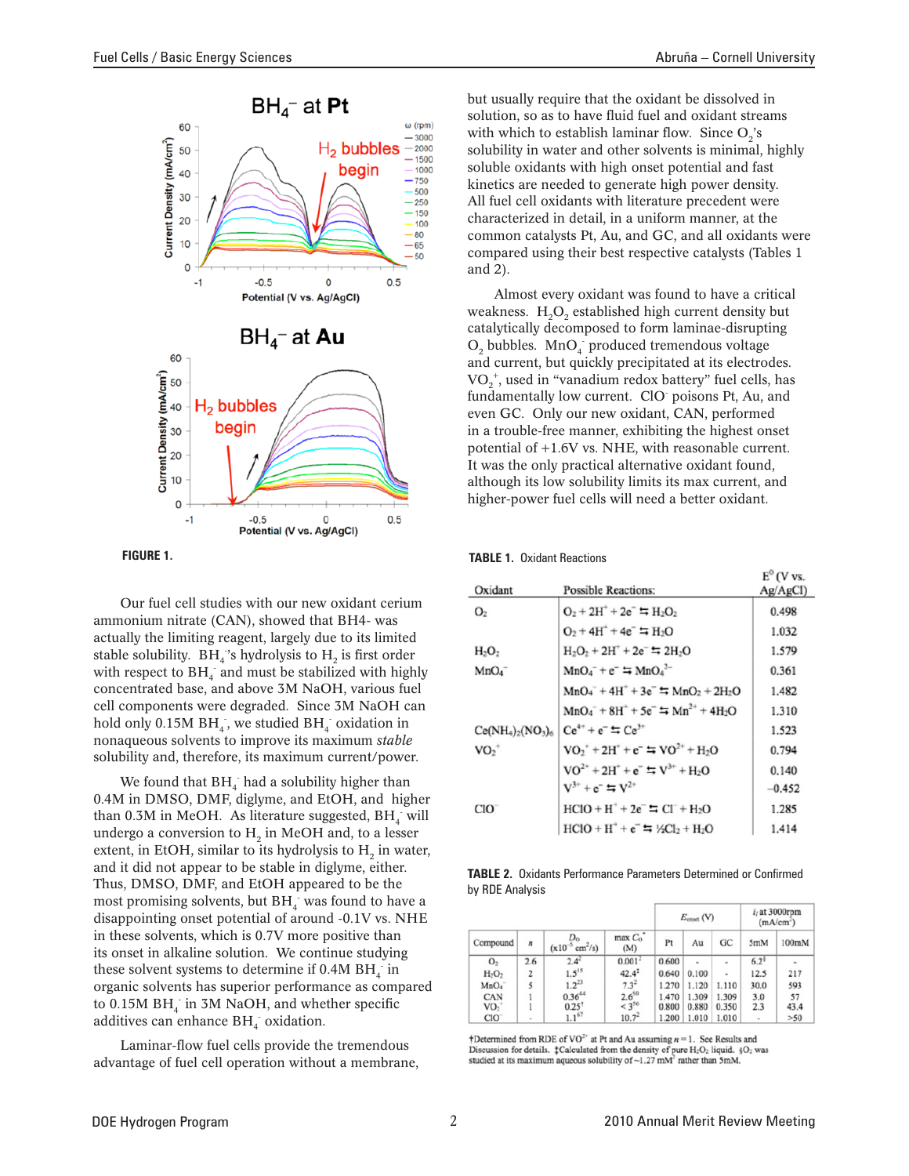

Our fuel cell studies with our new oxidant cerium ammonium nitrate (CAN), showed that BH4- was actually the limiting reagent, largely due to its limited stable solubility.  $BH_4$ 's hydrolysis to  $H_2$  is first order with respect to  $BH_{4}^-$  and must be stabilized with highly concentrated base, and above 3M NaOH, various fuel cell components were degraded. Since 3M NaOH can hold only 0.15M  $\rm BH_4$  , we studied  $\rm BH_4^-$  oxidation in nonaqueous solvents to improve its maximum *stable* solubility and, therefore, its maximum current/power.

We found that  $BH_{4}^-$  had a solubility higher than 0.4M in DMSO, DMF, diglyme, and EtOH, and higher than 0.3M in MeOH. As literature suggested,  $BH_4^-$  will undergo a conversion to  $H<sub>2</sub>$  in MeOH and, to a lesser extent, in EtOH, similar to its hydrolysis to  $H<sub>2</sub>$  in water, and it did not appear to be stable in diglyme, either. Thus, DMSO, DMF, and EtOH appeared to be the most promising solvents, but  $\mathbf{BH}_4^-$  was found to have a disappointing onset potential of around -0.1V vs. NHE in these solvents, which is 0.7V more positive than its onset in alkaline solution. We continue studying these solvent systems to determine if  $0.4M BH$ <sub>4</sub> in organic solvents has superior performance as compared to  $0.15M BH$ <sub>4</sub> in 3M NaOH, and whether specific additives can enhance BH<sub>4</sub> oxidation.

Laminar-flow fuel cells provide the tremendous advantage of fuel cell operation without a membrane, but usually require that the oxidant be dissolved in solution, so as to have fluid fuel and oxidant streams with which to establish laminar flow. Since  $O_2$ 's solubility in water and other solvents is minimal, highly soluble oxidants with high onset potential and fast kinetics are needed to generate high power density. All fuel cell oxidants with literature precedent were characterized in detail, in a uniform manner, at the common catalysts Pt, Au, and GC, and all oxidants were compared using their best respective catalysts (Tables 1

Almost every oxidant was found to have a critical weakness.  $H_2O_2$  established high current density but catalytically decomposed to form laminae-disrupting  $O_2$  bubbles. Mn $O_4$  produced tremendous voltage and current, but quickly precipitated at its electrodes.  $\mathrm{VO}_2^{\ +},$  used in "vanadium redox battery" fuel cells, has fundamentally low current. ClO poisons Pt, Au, and even GC. Only our new oxidant, CAN, performed in a trouble-free manner, exhibiting the highest onset potential of +1.6V vs. NHE, with reasonable current. It was the only practical alternative oxidant found, although its low solubility limits its max current, and higher-power fuel cells will need a better oxidant.

| FIGURE 1. | <b>TABLE 1. Oxidant Reactions</b> |
|-----------|-----------------------------------|
|           |                                   |

and 2).

| Oxidant                  | <b>Possible Reactions:</b>                               | $E^{\prime}$ (V vs.<br>$Ag/AgCl$ ) |
|--------------------------|----------------------------------------------------------|------------------------------------|
| O <sub>2</sub>           | $O_2 + 2H^+ + 2e^- = H_2O_2$                             | 0.498                              |
|                          | $O_2 + 4H^+ + 4e^- = H_2O$                               | 1.032                              |
| $H_2O_2$                 | $H_2O_2 + 2H^+ + 2e^- = 2H_2O$                           | 1.579                              |
| MnO <sub>4</sub>         | $MnO_4^- + e^- = MnO_4^2$                                | 0.361                              |
|                          | $MnO_4 + 4H^+ + 3e^- = MnO_2 + 2H_2O$                    | 1.482                              |
|                          | $MnO_4^- + 8H^+ + 5e^- = Mn^{2+} + 4H_2O$                | 1.310                              |
| $Ce(NH_4)_{2}(NO_3)_{6}$ | $Ce^{4+} + e^{-} = Ce^{3+}$                              | 1.523                              |
| $VO2+$                   | $VO_2^+ + 2H^+ + e^- = VO^{2+} + H_2O$                   | 0.794                              |
|                          | $VO^{2+} + 2H^+ + e^- \equiv V^{3+} + H_2O$              | 0.140                              |
|                          | $V^{3+} + e^- = V^{2+}$                                  | $-0.452$                           |
| $ClO^-$                  | $HCIO + H^+ + 2e^- = Cl^- + H_2O$                        | 1.285                              |
|                          | $HCIO + H^+ + e^- = \frac{1}{2} \frac{1}{2} CI_2 + H_2O$ | 1.414                              |

**Table 2.** Oxidants Performance Parameters Determined or Confirmed by RDE Analysis

| Compound         |        |                                          | $max$ $C_0$ <sup>*</sup><br>(M) | $E_{\text{const}}$ (V) |       |                | $i_i$ at 3000rpm<br>(mA/cm <sup>2</sup> ) |       |
|------------------|--------|------------------------------------------|---------------------------------|------------------------|-------|----------------|-------------------------------------------|-------|
|                  | n      | $\text{cm}^2/\text{s}$ )<br>$(x10^{-3})$ |                                 | Pt                     | Au    | G <sub>C</sub> | 5mM                                       | 100mM |
| O <sub>2</sub>   | 2.6    | $2.4^{2}$                                | 0.001 <sup>2</sup>              | 0.600                  |       | ä              | $6.2^{1}$                                 | ä,    |
| $H_2O_2$         | 2      | $1.5^{15}$                               | $42.4^3$                        | 0.640                  | 0.100 | ä,             | 12.5                                      | 217   |
| MnO <sub>4</sub> | 5      | $1.2^{23}$                               | $7.3^{2}$                       | 1.270                  | 1.120 | 1.110          | 30.0                                      | 593   |
| CAN              |        | $0.36^{44}$                              | $\frac{2.6^{50}}{3^{56}}$       | 1.470                  | 1.309 | 1.309          | 3.0                                       | 57    |
| VO <sub>2</sub>  |        | 0.25                                     |                                 | 0.800                  | 0.880 | 0.350          | 2.3                                       | 43.4  |
| CIO <sup>®</sup> | $\sim$ | 1.1 <sup>67</sup>                        | $10.7^{2}$                      | 1.200                  | 1.010 | 1.010          | $\blacksquare$                            | >50   |

†Determined from RDE of VO<sup>2+</sup> at Pt and Au assuming  $n = 1$ . See Results and Discussion for details.  $\downarrow$ Calculated from the density of pure H<sub>2</sub>O<sub>2</sub> liquid.  $\S$ O<sub>2</sub> was studied at its maximum aqueous solubility of ~1.27 mM<sup>2</sup> rather than 5mM.

 $\sim$